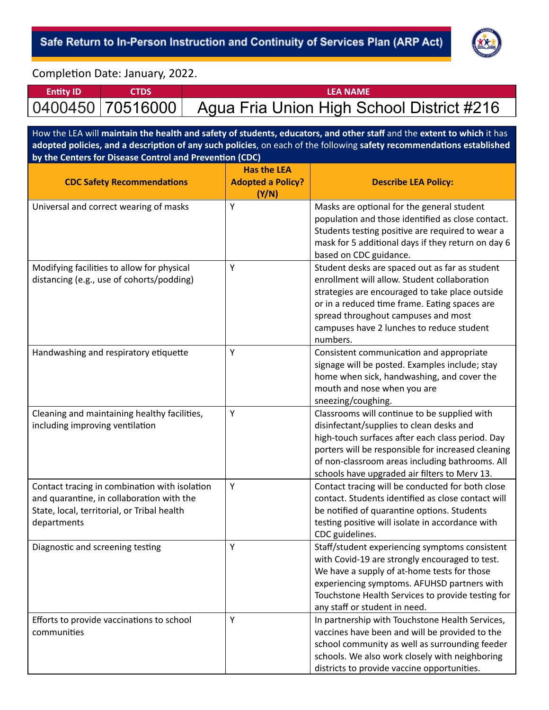

Completion Date: January, 2022.

| <b>Entity ID</b> | Ι ΕΔ ΝΔΜΕ                                                      |
|------------------|----------------------------------------------------------------|
|                  | 0400450   70516000   Agua Fria Union High School District #216 |

How the LEA will **maintain the health and safety of students, educators, and other staff** and the **extent to which** it has

| How the LEA will maintain the nearth and safety of students, educators, and other starf and the extent to which it has<br>adopted policies, and a description of any such policies, on each of the following safety recommendations established |                          |                                                                              |  |  |
|-------------------------------------------------------------------------------------------------------------------------------------------------------------------------------------------------------------------------------------------------|--------------------------|------------------------------------------------------------------------------|--|--|
| by the Centers for Disease Control and Prevention (CDC)                                                                                                                                                                                         | <b>Has the LEA</b>       |                                                                              |  |  |
|                                                                                                                                                                                                                                                 | <b>Adopted a Policy?</b> | <b>Describe LEA Policy:</b>                                                  |  |  |
| <b>CDC Safety Recommendations</b>                                                                                                                                                                                                               |                          |                                                                              |  |  |
|                                                                                                                                                                                                                                                 | (Y/N)<br>Y               |                                                                              |  |  |
| Universal and correct wearing of masks                                                                                                                                                                                                          |                          | Masks are optional for the general student                                   |  |  |
|                                                                                                                                                                                                                                                 |                          | population and those identified as close contact.                            |  |  |
|                                                                                                                                                                                                                                                 |                          | Students testing positive are required to wear a                             |  |  |
|                                                                                                                                                                                                                                                 |                          | mask for 5 additional days if they return on day 6<br>based on CDC guidance. |  |  |
|                                                                                                                                                                                                                                                 | Y                        | Student desks are spaced out as far as student                               |  |  |
| Modifying facilities to allow for physical<br>distancing (e.g., use of cohorts/podding)                                                                                                                                                         |                          | enrollment will allow. Student collaboration                                 |  |  |
|                                                                                                                                                                                                                                                 |                          | strategies are encouraged to take place outside                              |  |  |
|                                                                                                                                                                                                                                                 |                          | or in a reduced time frame. Eating spaces are                                |  |  |
|                                                                                                                                                                                                                                                 |                          | spread throughout campuses and most                                          |  |  |
|                                                                                                                                                                                                                                                 |                          | campuses have 2 lunches to reduce student                                    |  |  |
|                                                                                                                                                                                                                                                 |                          | numbers.                                                                     |  |  |
| Handwashing and respiratory etiquette                                                                                                                                                                                                           | Υ                        | Consistent communication and appropriate                                     |  |  |
|                                                                                                                                                                                                                                                 |                          | signage will be posted. Examples include; stay                               |  |  |
|                                                                                                                                                                                                                                                 |                          | home when sick, handwashing, and cover the                                   |  |  |
|                                                                                                                                                                                                                                                 |                          | mouth and nose when you are                                                  |  |  |
|                                                                                                                                                                                                                                                 |                          | sneezing/coughing.                                                           |  |  |
| Cleaning and maintaining healthy facilities,                                                                                                                                                                                                    | Y                        | Classrooms will continue to be supplied with                                 |  |  |
| including improving ventilation                                                                                                                                                                                                                 |                          | disinfectant/supplies to clean desks and                                     |  |  |
|                                                                                                                                                                                                                                                 |                          | high-touch surfaces after each class period. Day                             |  |  |
|                                                                                                                                                                                                                                                 |                          | porters will be responsible for increased cleaning                           |  |  |
|                                                                                                                                                                                                                                                 |                          | of non-classroom areas including bathrooms. All                              |  |  |
|                                                                                                                                                                                                                                                 |                          | schools have upgraded air filters to Merv 13.                                |  |  |
| Contact tracing in combination with isolation                                                                                                                                                                                                   | Y                        | Contact tracing will be conducted for both close                             |  |  |
| and quarantine, in collaboration with the                                                                                                                                                                                                       |                          | contact. Students identified as close contact will                           |  |  |
| State, local, territorial, or Tribal health                                                                                                                                                                                                     |                          | be notified of quarantine options. Students                                  |  |  |
| departments                                                                                                                                                                                                                                     |                          | testing positive will isolate in accordance with                             |  |  |
|                                                                                                                                                                                                                                                 |                          | CDC guidelines.                                                              |  |  |
| Diagnostic and screening testing                                                                                                                                                                                                                | Y                        | Staff/student experiencing symptoms consistent                               |  |  |
|                                                                                                                                                                                                                                                 |                          | with Covid-19 are strongly encouraged to test.                               |  |  |
|                                                                                                                                                                                                                                                 |                          | We have a supply of at-home tests for those                                  |  |  |
|                                                                                                                                                                                                                                                 |                          | experiencing symptoms. AFUHSD partners with                                  |  |  |
|                                                                                                                                                                                                                                                 |                          | Touchstone Health Services to provide testing for                            |  |  |
|                                                                                                                                                                                                                                                 |                          | any staff or student in need.                                                |  |  |
| Efforts to provide vaccinations to school                                                                                                                                                                                                       | Υ                        | In partnership with Touchstone Health Services,                              |  |  |
| communities                                                                                                                                                                                                                                     |                          | vaccines have been and will be provided to the                               |  |  |
|                                                                                                                                                                                                                                                 |                          | school community as well as surrounding feeder                               |  |  |
|                                                                                                                                                                                                                                                 |                          | schools. We also work closely with neighboring                               |  |  |
|                                                                                                                                                                                                                                                 |                          | districts to provide vaccine opportunities.                                  |  |  |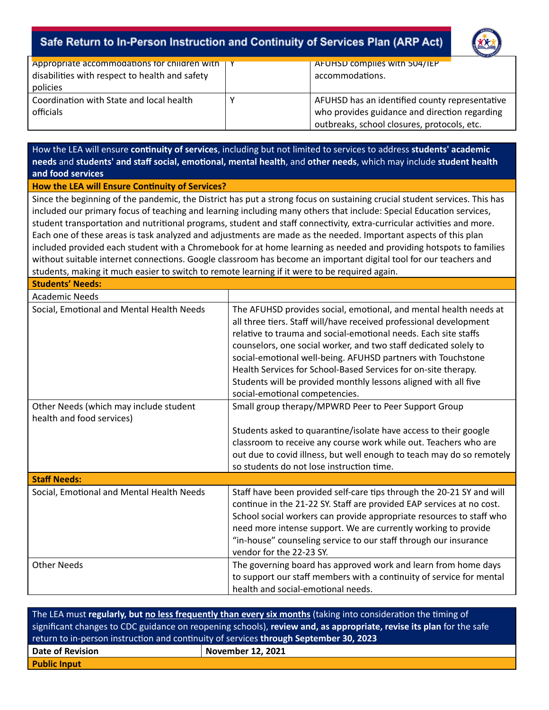

| Appropriate accommodations for children with  <br>disabilities with respect to health and safety<br>policies | AFUHSD complies with 504/IEP<br>accommodations.                                                                                                |  |
|--------------------------------------------------------------------------------------------------------------|------------------------------------------------------------------------------------------------------------------------------------------------|--|
| Coordination with State and local health<br>officials                                                        | AFUHSD has an identified county representative<br>who provides guidance and direction regarding<br>outbreaks, school closures, protocols, etc. |  |

How the LEA will ensure *continuity of services*, including but not limited to services to address students' academic **needs** and **students' and staff social, emoonal, mental health**, and **other needs**, which may include **student health and food services**

#### **How the LEA will Ensure Continuity of Services?**

Since the beginning of the pandemic, the District has put a strong focus on sustaining crucial student services. This has included our primary focus of teaching and learning including many others that include: Special Education services, student transportation and nutritional programs, student and staff connectivity, extra-curricular activities and more. Each one of these areas is task analyzed and adjustments are made as the needed. Important aspects of this plan included provided each student with a Chromebook for at home learning as needed and providing hotspots to families without suitable internet connections. Google classroom has become an important digital tool for our teachers and students, making it much easier to switch to remote learning if it were to be required again.

**Students' Needs:**

| <b>Academic Needs</b>                                               |                                                                                                                                                                                                                                                                                                                                                                                                                                                                                                                       |
|---------------------------------------------------------------------|-----------------------------------------------------------------------------------------------------------------------------------------------------------------------------------------------------------------------------------------------------------------------------------------------------------------------------------------------------------------------------------------------------------------------------------------------------------------------------------------------------------------------|
| Social, Emotional and Mental Health Needs                           | The AFUHSD provides social, emotional, and mental health needs at<br>all three tiers. Staff will/have received professional development<br>relative to trauma and social-emotional needs. Each site staffs<br>counselors, one social worker, and two staff dedicated solely to<br>social-emotional well-being. AFUHSD partners with Touchstone<br>Health Services for School-Based Services for on-site therapy.<br>Students will be provided monthly lessons aligned with all five<br>social-emotional competencies. |
| Other Needs (which may include student<br>health and food services) | Small group therapy/MPWRD Peer to Peer Support Group                                                                                                                                                                                                                                                                                                                                                                                                                                                                  |
|                                                                     | Students asked to quarantine/isolate have access to their google                                                                                                                                                                                                                                                                                                                                                                                                                                                      |
|                                                                     | classroom to receive any course work while out. Teachers who are                                                                                                                                                                                                                                                                                                                                                                                                                                                      |
|                                                                     | out due to covid illness, but well enough to teach may do so remotely                                                                                                                                                                                                                                                                                                                                                                                                                                                 |
|                                                                     | so students do not lose instruction time.                                                                                                                                                                                                                                                                                                                                                                                                                                                                             |
| <b>Staff Needs:</b>                                                 |                                                                                                                                                                                                                                                                                                                                                                                                                                                                                                                       |
| Social, Emotional and Mental Health Needs                           | Staff have been provided self-care tips through the 20-21 SY and will<br>continue in the 21-22 SY. Staff are provided EAP services at no cost.<br>School social workers can provide appropriate resources to staff who<br>need more intense support. We are currently working to provide<br>"in-house" counseling service to our staff through our insurance<br>vendor for the 22-23 SY.                                                                                                                              |
| <b>Other Needs</b>                                                  | The governing board has approved work and learn from home days<br>to support our staff members with a continuity of service for mental<br>health and social-emotional needs.                                                                                                                                                                                                                                                                                                                                          |

| The LEA must regularly, but no less frequently than every six months (taking into consideration the timing of       |                          |  |  |
|---------------------------------------------------------------------------------------------------------------------|--------------------------|--|--|
| significant changes to CDC guidance on reopening schools), review and, as appropriate, revise its plan for the safe |                          |  |  |
| return to in-person instruction and continuity of services through September 30, 2023                               |                          |  |  |
| <b>Date of Revision</b>                                                                                             | <b>November 12, 2021</b> |  |  |
| <b>Public Input</b>                                                                                                 |                          |  |  |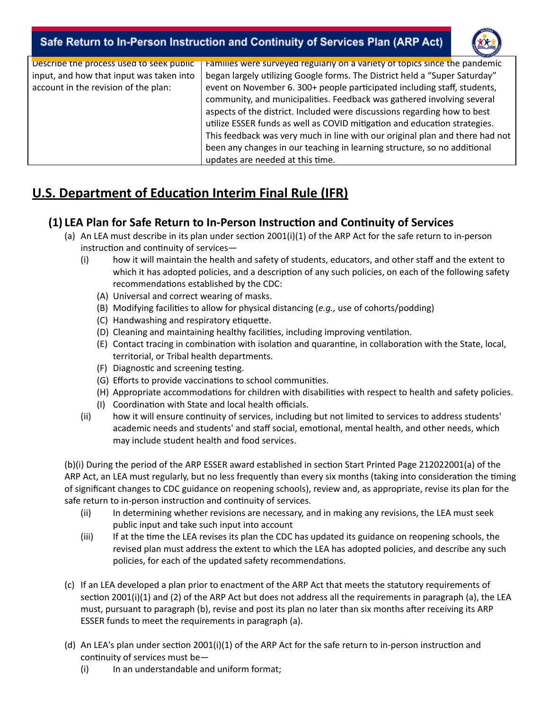

| Describe the process used to seek public | Families were surveyed regularly on a variety of topics since the pandemic   |
|------------------------------------------|------------------------------------------------------------------------------|
| input, and how that input was taken into | began largely utilizing Google forms. The District held a "Super Saturday"   |
| account in the revision of the plan:     | event on November 6. 300+ people participated including staff, students,     |
|                                          | community, and municipalities. Feedback was gathered involving several       |
|                                          | aspects of the district. Included were discussions regarding how to best     |
|                                          | utilize ESSER funds as well as COVID mitigation and education strategies.    |
|                                          | This feedback was very much in line with our original plan and there had not |
|                                          | been any changes in our teaching in learning structure, so no additional     |
|                                          | updates are needed at this time.                                             |

# **U.S. Department of Education Interim Final Rule (IFR)**

### **(1) LEA Plan for Safe Return to In-Person Instrucon and Connuity of Services**

- (a) An LEA must describe in its plan under section 2001(i)(1) of the ARP Act for the safe return to in-person  $instructor$  and continuity of services $-$ 
	- (i) how it will maintain the health and safety of students, educators, and other staff and the extent to which it has adopted policies, and a description of any such policies, on each of the following safety recommendations established by the CDC:
		- (A) Universal and correct wearing of masks.
		- (B) Modifying facilies to allow for physical distancing (*e.g.,* use of cohorts/podding)
		- (C) Handwashing and respiratory etiquette.
		- (D) Cleaning and maintaining healthy facilities, including improving ventilation.
		- (E) Contact tracing in combination with isolation and quarantine, in collaboration with the State, local, territorial, or Tribal health departments.
		- (F) Diagnostic and screening testing.
		- (G) Efforts to provide vaccinations to school communities.
		- (H) Appropriate accommodations for children with disabilities with respect to health and safety policies.
		- (I) Coordination with State and local health officials.
	- (ii) how it will ensure continuity of services, including but not limited to services to address students' academic needs and students' and staff social, emotional, mental health, and other needs, which may include student health and food services.

(b)(i) During the period of the ARP ESSER award established in section Start Printed Page 212022001(a) of the ARP Act, an LEA must regularly, but no less frequently than every six months (taking into consideration the timing of significant changes to CDC guidance on reopening schools), review and, as appropriate, revise its plan for the safe return to in-person instruction and continuity of services.

- (ii) In determining whether revisions are necessary, and in making any revisions, the LEA must seek public input and take such input into account
- (iii) If at the me the LEA revises its plan the CDC has updated its guidance on reopening schools, the revised plan must address the extent to which the LEA has adopted policies, and describe any such policies, for each of the updated safety recommendations.
- (c) If an LEA developed a plan prior to enactment of the ARP Act that meets the statutory requirements of section 2001(i)(1) and (2) of the ARP Act but does not address all the requirements in paragraph (a), the LEA must, pursuant to paragraph (b), revise and post its plan no later than six months after receiving its ARP ESSER funds to meet the requirements in paragraph (a).
- (d) An LEA's plan under section 2001(i)(1) of the ARP Act for the safe return to in-person instruction and  $continuity$  of services must be $-$ 
	- (i) In an understandable and uniform format;